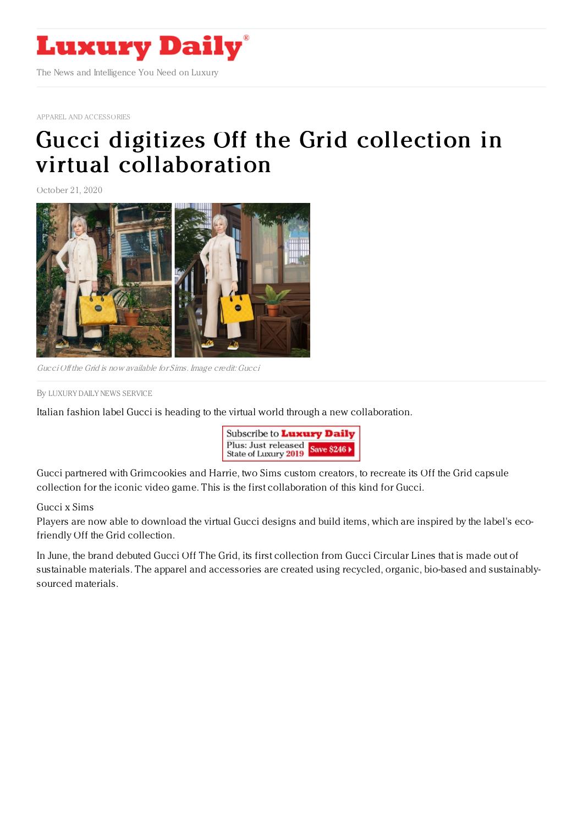

APPAREL AND [ACCESSORIES](https://www.luxurydaily.com/category/sectors/apparel-and-accessories/)

## Gucci digitizes Off the Grid collection in virtual [collaboration](https://www.luxurydaily.com/gucci-digitizes-off-the-grid-collection-in-virtual-collaboration/)

October 21, 2020



Gucci Off the Grid is now available for Sims. Image credit: Gucci

By LUXURY DAILY NEWS [SERVICE](file:///author/luxury-daily-news-service)

Italian fashion label Gucci is heading to the virtual world through a new collaboration.



Gucci partnered with Grimcookies and Harrie, two Sims custom creators, to recreate its Off the Grid capsule collection for the iconic video game. This is the first collaboration of this kind for Gucci.

## Gucci x Sims

Players are now able to download the virtual Gucci designs and build items, which are inspired by the label's ecofriendly Off the Grid collection.

In June, the brand debuted Gucci Off The Grid, its first collection from Gucci Circular Lines that is made out of sustainable materials. The apparel and accessories are created using recycled, organic, bio-based and sustainablysourced materials.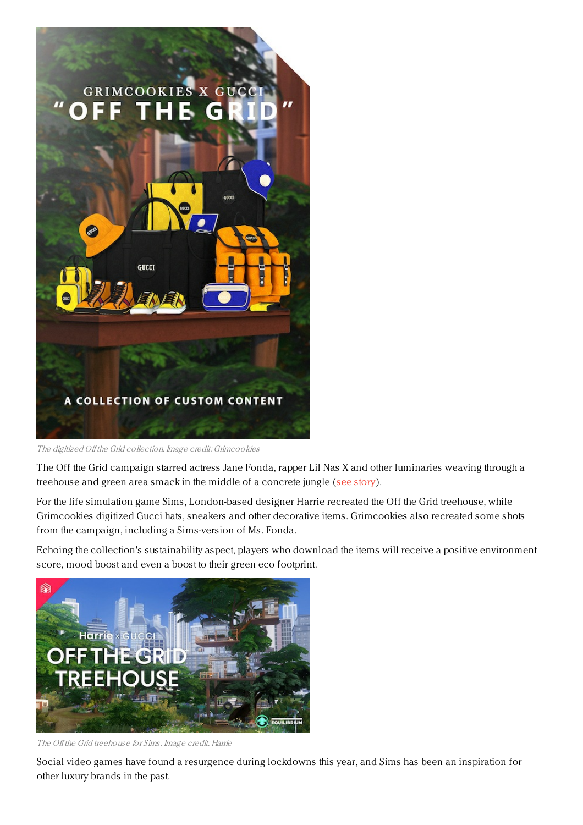

The digitized Off the Grid collection. Image credit: Grimcookies

The Off the Grid campaign starred actress Jane Fonda, rapper Lil Nas X and other luminaries weaving through a treehouse and green area smack in the middle of a concrete jungle (see [story](https://www.luxurydaily.com/gucci-debuts-campaign-with-jane-fonda-for-first-sustainable-line-of-merchandise/)).

For the life simulation game Sims, London-based designer Harrie recreated the Off the Grid treehouse, while Grimcookies digitized Gucci hats, sneakers and other decorative items. Grimcookies also recreated some shots from the campaign, including a Sims-version of Ms. Fonda.

Echoing the collection's sustainability aspect, players who download the items will receive a positive environment score, mood boost and even a boost to their green eco footprint.



The Off the Grid treehouse for Sims. Image credit: Harrie

Social video games have found a resurgence during lockdowns this year, and Sims has been an inspiration for other luxury brands in the past.